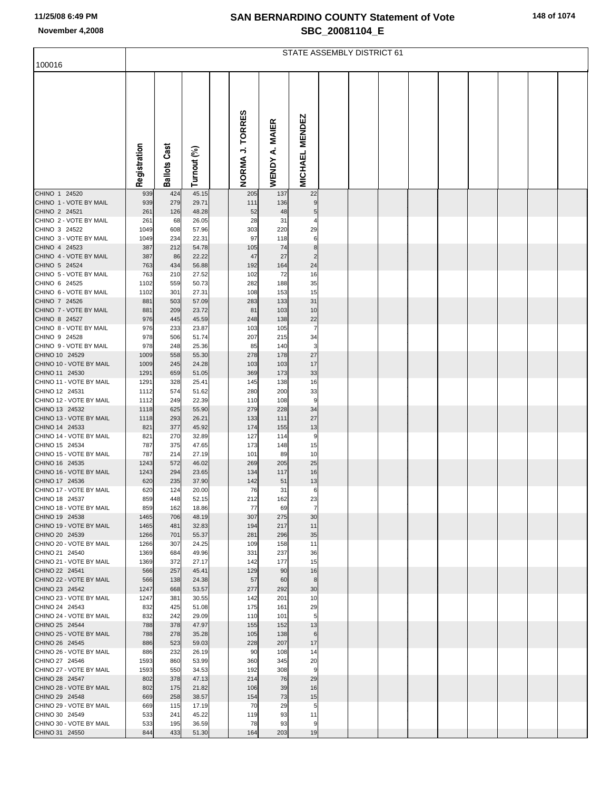|  |  | 148 of 1074 |
|--|--|-------------|
|--|--|-------------|

|                                           | STATE ASSEMBLY DISTRICT 61 |                     |                |  |                 |                          |                       |  |  |  |  |  |  |  |  |
|-------------------------------------------|----------------------------|---------------------|----------------|--|-----------------|--------------------------|-----------------------|--|--|--|--|--|--|--|--|
| 100016                                    |                            |                     |                |  |                 |                          |                       |  |  |  |  |  |  |  |  |
|                                           | Registration               | <b>Ballots Cast</b> | Turnout (%)    |  | NORMA J. TORRES | A. MAIER<br><b>WENDY</b> | <b>MICHAEL MENDEZ</b> |  |  |  |  |  |  |  |  |
| CHINO 1 24520                             | 939                        | 424                 | 45.15          |  | 205             | 137                      | 22                    |  |  |  |  |  |  |  |  |
| CHINO 1 - VOTE BY MAIL<br>CHINO 2 24521   | 939<br>261                 | 279<br>126          | 29.71<br>48.28 |  | 111<br>52       | 136<br>48                | 5                     |  |  |  |  |  |  |  |  |
| CHINO 2 - VOTE BY MAIL                    | 261                        | 68                  | 26.05          |  | 28              | 31                       | 4                     |  |  |  |  |  |  |  |  |
| CHINO 3 24522                             | 1049                       | 608                 | 57.96          |  | 303             | 220                      | 29                    |  |  |  |  |  |  |  |  |
| CHINO 3 - VOTE BY MAIL<br>CHINO 4 24523   | 1049<br>387                | 234<br>212          | 22.31<br>54.78 |  | 97<br>105       | 118<br>74                | 6<br>8                |  |  |  |  |  |  |  |  |
| CHINO 4 - VOTE BY MAIL                    | 387                        | 86                  | 22.22          |  | 47              | 27                       | $\overline{2}$        |  |  |  |  |  |  |  |  |
| CHINO 5 24524                             | 763                        | 434                 | 56.88          |  | 192             | 164                      | 24                    |  |  |  |  |  |  |  |  |
| CHINO 5 - VOTE BY MAIL                    | 763                        | 210                 | 27.52          |  | 102             | 72                       | 16                    |  |  |  |  |  |  |  |  |
| CHINO 6 24525<br>CHINO 6 - VOTE BY MAIL   | 1102<br>1102               | 559<br>301          | 50.73<br>27.31 |  | 282<br>108      | 188<br>153               | 35<br>15              |  |  |  |  |  |  |  |  |
| CHINO 7 24526                             | 881                        | 503                 | 57.09          |  | 283             | 133                      | 31                    |  |  |  |  |  |  |  |  |
| CHINO 7 - VOTE BY MAIL                    | 881                        | 209                 | 23.72          |  | 81              | 103                      | 10                    |  |  |  |  |  |  |  |  |
| CHINO 8 24527<br>CHINO 8 - VOTE BY MAIL   | 976                        | 445                 | 45.59          |  | 248             | 138                      | 22<br>7               |  |  |  |  |  |  |  |  |
| CHINO 9 24528                             | 976<br>978                 | 233<br>506          | 23.87<br>51.74 |  | 103<br>207      | 105<br>215               | 34                    |  |  |  |  |  |  |  |  |
| CHINO 9 - VOTE BY MAIL                    | 978                        | 248                 | 25.36          |  | 85              | 140                      | 3                     |  |  |  |  |  |  |  |  |
| CHINO 10 24529                            | 1009                       | 558                 | 55.30          |  | 278             | 178                      | 27                    |  |  |  |  |  |  |  |  |
| CHINO 10 - VOTE BY MAIL<br>CHINO 11 24530 | 1009<br>1291               | 245<br>659          | 24.28<br>51.05 |  | 103<br>369      | 103<br>173               | 17<br>33              |  |  |  |  |  |  |  |  |
| CHINO 11 - VOTE BY MAIL                   | 1291                       | 328                 | 25.41          |  | 145             | 138                      | 16                    |  |  |  |  |  |  |  |  |
| CHINO 12 24531                            | 1112                       | 574                 | 51.62          |  | 280             | 200                      | 33                    |  |  |  |  |  |  |  |  |
| CHINO 12 - VOTE BY MAIL                   | 1112                       | 249                 | 22.39          |  | 110             | 108                      | 9                     |  |  |  |  |  |  |  |  |
| CHINO 13 24532<br>CHINO 13 - VOTE BY MAIL | 1118<br>1118               | 625<br>293          | 55.90<br>26.21 |  | 279<br>133      | 228<br>111               | 34<br>27              |  |  |  |  |  |  |  |  |
| CHINO 14 24533                            | 821                        | 377                 | 45.92          |  | 174             | 155                      | 13                    |  |  |  |  |  |  |  |  |
| CHINO 14 - VOTE BY MAIL                   | 821                        | 270                 | 32.89          |  | 127             | 114                      | 9                     |  |  |  |  |  |  |  |  |
| CHINO 15 24534<br>CHINO 15 - VOTE BY MAIL | 787                        | 375                 | 47.65          |  | 173             | 148                      | 15                    |  |  |  |  |  |  |  |  |
| CHINO 16 24535                            | 787<br>1243                | 214<br>572          | 27.19<br>46.02 |  | 101<br>269      | 89<br>205                | 10<br>25              |  |  |  |  |  |  |  |  |
| CHINO 16 - VOTE BY MAIL                   | 1243                       | 294                 | 23.65          |  | 134             | 117                      | 16                    |  |  |  |  |  |  |  |  |
| CHINO 17 24536                            | 620                        | 235                 | 37.90          |  | 142             | 51                       | 13                    |  |  |  |  |  |  |  |  |
| CHINO 17 - VOTE BY MAIL<br>CHINO 18 24537 | 620<br>859                 | 124<br>448          | 20.00<br>52.15 |  | 76<br>212       | 31<br>162                | 6<br>23               |  |  |  |  |  |  |  |  |
| CHINO 18 - VOTE BY MAIL                   | 859                        | 162                 | 18.86          |  | 77              | 69                       | $\overline{7}$        |  |  |  |  |  |  |  |  |
| CHINO 19 24538                            | 1465                       | 706                 | 48.19          |  | 307             | 275                      | 30                    |  |  |  |  |  |  |  |  |
| CHINO 19 - VOTE BY MAIL<br>CHINO 20 24539 | 1465                       | 481                 | 32.83          |  | 194             | 217                      | 11                    |  |  |  |  |  |  |  |  |
| CHINO 20 - VOTE BY MAIL                   | 1266<br>1266               | 701<br>307          | 55.37<br>24.25 |  | 281<br>109      | 296<br>158               | 35<br>11              |  |  |  |  |  |  |  |  |
| CHINO 21 24540                            | 1369                       | 684                 | 49.96          |  | 331             | 237                      | 36                    |  |  |  |  |  |  |  |  |
| CHINO 21 - VOTE BY MAIL                   | 1369                       | 372                 | 27.17          |  | 142             | 177                      | 15                    |  |  |  |  |  |  |  |  |
| CHINO 22 24541<br>CHINO 22 - VOTE BY MAIL | 566<br>566                 | 257<br>138          | 45.41<br>24.38 |  | 129<br>57       | 90<br>60                 | 16<br>8               |  |  |  |  |  |  |  |  |
| CHINO 23 24542                            | 1247                       | 668                 | 53.57          |  | 277             | 292                      | 30                    |  |  |  |  |  |  |  |  |
| CHINO 23 - VOTE BY MAIL                   | 1247                       | 381                 | 30.55          |  | 142             | 201                      | 10                    |  |  |  |  |  |  |  |  |
| CHINO 24 24543                            | 832                        | 425                 | 51.08          |  | 175             | 161                      | 29                    |  |  |  |  |  |  |  |  |
| CHINO 24 - VOTE BY MAIL<br>CHINO 25 24544 | 832<br>788                 | 242<br>378          | 29.09<br>47.97 |  | 110<br>155      | 101<br>152               | 5<br>13               |  |  |  |  |  |  |  |  |
| CHINO 25 - VOTE BY MAIL                   | 788                        | 278                 | 35.28          |  | 105             | 138                      | 6                     |  |  |  |  |  |  |  |  |
| CHINO 26 24545                            | 886                        | 523                 | 59.03          |  | 228             | 207                      | 17                    |  |  |  |  |  |  |  |  |
| CHINO 26 - VOTE BY MAIL<br>CHINO 27 24546 | 886<br>1593                | 232<br>860          | 26.19<br>53.99 |  | 90<br>360       | 108<br>345               | 14<br>20              |  |  |  |  |  |  |  |  |
| CHINO 27 - VOTE BY MAIL                   | 1593                       | 550                 | 34.53          |  | 192             | 308                      | 9                     |  |  |  |  |  |  |  |  |
| CHINO 28 24547                            | 802                        | 378                 | 47.13          |  | 214             | 76                       | 29                    |  |  |  |  |  |  |  |  |
| CHINO 28 - VOTE BY MAIL                   | 802                        | 175                 | 21.82          |  | 106             | 39                       | 16                    |  |  |  |  |  |  |  |  |
| CHINO 29 24548                            | 669                        | 258                 | 38.57          |  | 154             | 73                       | 15                    |  |  |  |  |  |  |  |  |
| CHINO 29 - VOTE BY MAIL<br>CHINO 30 24549 | 669<br>533                 | 115<br>241          | 17.19<br>45.22 |  | 70<br>119       | 29<br>93                 | 5<br>11               |  |  |  |  |  |  |  |  |
| CHINO 30 - VOTE BY MAIL                   | 533                        | 195                 | 36.59          |  | 78              | 93                       | 9                     |  |  |  |  |  |  |  |  |
| CHINO 31 24550                            | 844                        | 433                 | 51.30          |  | 164             | 203                      | 19                    |  |  |  |  |  |  |  |  |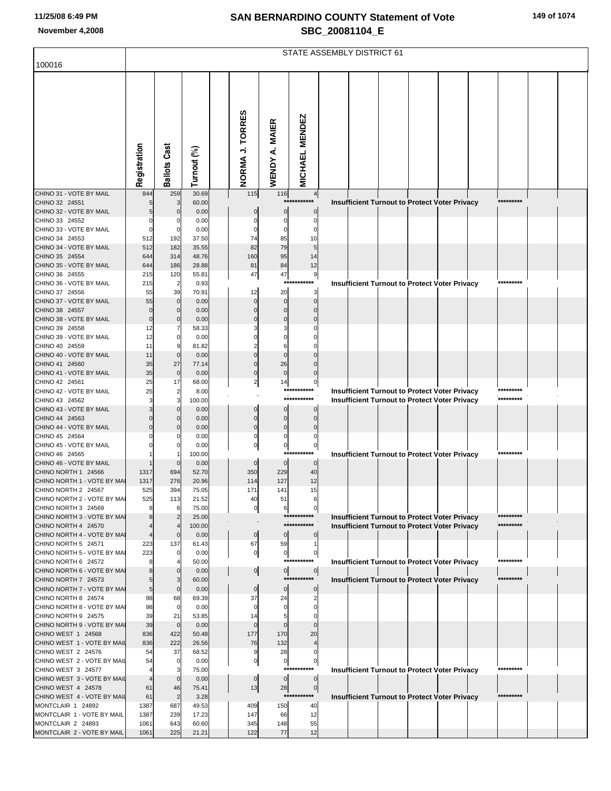|  | 149 of 1074 |
|--|-------------|
|  |             |

|                                                    | STATE ASSEMBLY DISTRICT 61 |                       |                 |                         |                  |                               |                                                                         |  |  |  |  |  |  |
|----------------------------------------------------|----------------------------|-----------------------|-----------------|-------------------------|------------------|-------------------------------|-------------------------------------------------------------------------|--|--|--|--|--|--|
| 100016                                             |                            |                       |                 |                         |                  |                               |                                                                         |  |  |  |  |  |  |
|                                                    | Registration               | <b>Ballots Cast</b>   | Turnout (%)     | NORMA J. TORRES         | WENDY A. MAIER   | <b>MICHAEL MENDEZ</b>         |                                                                         |  |  |  |  |  |  |
| CHINO 31 - VOTE BY MAIL                            | 844                        | 259                   | 30.69           | 115                     | 116              | 4                             |                                                                         |  |  |  |  |  |  |
| CHINO 32 24551<br>CHINO 32 - VOTE BY MAIL          |                            | 3<br>$\Omega$         | 60.00<br>0.00   |                         | ***<br>0         | ******<br>0                   | *********<br>Insufficient Turnout to Protect Voter Privacy              |  |  |  |  |  |  |
| CHINO 33 24552                                     |                            |                       | 0.00            |                         |                  | 0                             |                                                                         |  |  |  |  |  |  |
| CHINO 33 - VOTE BY MAIL                            |                            | 0                     | 0.00            |                         |                  |                               |                                                                         |  |  |  |  |  |  |
| CHINO 34 24553                                     | 512                        | 192                   | 37.50           | 74                      | 85               | 10                            |                                                                         |  |  |  |  |  |  |
| CHINO 34 - VOTE BY MAIL                            | 512                        | 182                   | 35.55           | 82                      | 79               | 5                             |                                                                         |  |  |  |  |  |  |
| CHINO 35 24554                                     | 644                        | 314                   | 48.76           | 160                     | 95               | 14                            |                                                                         |  |  |  |  |  |  |
| CHINO 35 - VOTE BY MAIL                            | 644                        | 186                   | 28.88           | 81                      | 84               | 12                            |                                                                         |  |  |  |  |  |  |
| CHINO 36 24555<br>CHINO 36 - VOTE BY MAIL          | 215<br>215                 | 120<br>$\overline{2}$ | 55.81<br>0.93   | 47                      | 47<br>****       | 9<br>*******                  | <b>Insufficient Turnout to Protect Voter Privacy</b>                    |  |  |  |  |  |  |
| CHINO 37 24556                                     | 55                         | 39                    | 70.91           | 12                      | 20               | 3                             |                                                                         |  |  |  |  |  |  |
| CHINO 37 - VOTE BY MAIL                            | 55                         | $\mathbf 0$           | 0.00            |                         | $\mathbf 0$      | $\Omega$                      |                                                                         |  |  |  |  |  |  |
| CHINO 38 24557                                     |                            |                       | 0.00            |                         | $\Omega$         |                               |                                                                         |  |  |  |  |  |  |
| CHINO 38 - VOTE BY MAIL                            | $\Omega$                   | C                     | 0.00            |                         | $\Omega$         |                               |                                                                         |  |  |  |  |  |  |
| CHINO 39 24558                                     | 12                         |                       | 58.33           |                         |                  |                               |                                                                         |  |  |  |  |  |  |
| CHINO 39 - VOTE BY MAIL<br>CHINO 40 24559          | 12<br>11                   | 0                     | 0.00<br>81.82   |                         | 6                |                               |                                                                         |  |  |  |  |  |  |
| CHINO 40 - VOTE BY MAIL                            | 11                         | $\Omega$              | 0.00            |                         |                  |                               |                                                                         |  |  |  |  |  |  |
| CHINO 41 24560                                     | 35                         | 27                    | 77.14           |                         | 26               |                               |                                                                         |  |  |  |  |  |  |
| CHINO 41 - VOTE BY MAIL                            | 35                         | $\mathbf 0$           | 0.00            | $\Omega$                | $\mathbf 0$      |                               |                                                                         |  |  |  |  |  |  |
| CHINO 42 24561                                     | 25                         | 17                    | 68.00           | $\overline{\mathbf{c}}$ | 14               | $\mathbf{0}$                  |                                                                         |  |  |  |  |  |  |
| CHINO 42 - VOTE BY MAIL                            | 25                         | $\overline{2}$        | 8.00            |                         |                  | ***********<br>***********    | Insufficient Turnout to Protect Voter Privacy<br>*********<br>********* |  |  |  |  |  |  |
| CHINO 43 24562<br>CHINO 43 - VOTE BY MAIL          |                            | 3<br>0                | 100.00<br>0.00  | 0                       | $\Omega$         | 0                             | Insufficient Turnout to Protect Voter Privacy                           |  |  |  |  |  |  |
| CHINO 44 24563                                     |                            |                       | 0.00            | $\mathbf 0$             | 0                | $\Omega$                      |                                                                         |  |  |  |  |  |  |
| CHINO 44 - VOTE BY MAIL                            |                            |                       | 0.00            | $\Omega$                | $\mathbf 0$      | $\Omega$                      |                                                                         |  |  |  |  |  |  |
| CHINO 45 24564                                     |                            |                       | 0.00            |                         | 0                |                               |                                                                         |  |  |  |  |  |  |
| CHINO 45 - VOTE BY MAIL                            |                            |                       | 0.00            | 0                       | 0<br>$***$       | $\overline{0}$<br>****        | *********                                                               |  |  |  |  |  |  |
| CHINO 46 24565<br>CHINO 46 - VOTE BY MAIL          |                            | $\Omega$              | 100.00          | $\Omega$                | $\Omega$         |                               | Insufficient Turnout to Protect Voter Privacy                           |  |  |  |  |  |  |
| CHINO NORTH 1 24566                                | 1317                       | 694                   | 0.00<br>52.70   | 350                     | 229              | $\overline{0}$<br>40          |                                                                         |  |  |  |  |  |  |
| CHINO NORTH 1 - VOTE BY MAI                        | 1317                       | 276                   | 20.96           | 114                     | 127              | 12                            |                                                                         |  |  |  |  |  |  |
| CHINO NORTH 2 24567                                | 525                        | 394                   | 75.05           | 171                     | 141              | 15                            |                                                                         |  |  |  |  |  |  |
| CHINO NORTH 2 - VOTE BY MAI                        | 525                        | 113                   | 21.52           | 40                      | 51               |                               |                                                                         |  |  |  |  |  |  |
| CHINO NORTH 3 24569                                | 8                          | 6                     | 75.00           | 0                       | 6                | 0<br>***********              | *********                                                               |  |  |  |  |  |  |
| CHINO NORTH 3 - VOTE BY MAI<br>CHINO NORTH 4 24570 |                            |                       | 25.00<br>100.00 |                         |                  | ***********                   | <b>Insufficient Turnout to Protect Voter Privacy</b><br>*********       |  |  |  |  |  |  |
| CHINO NORTH 4 - VOTE BY MAI                        |                            | $\mathbf 0$           | 0.00            | $\circ$                 | $\overline{0}$   | $\overline{0}$                | Insufficient Turnout to Protect Voter Privacy                           |  |  |  |  |  |  |
| CHINO NORTH 5 24571                                | 223                        | 137                   | 61.43           | 67                      | 59               | 1                             |                                                                         |  |  |  |  |  |  |
| CHINO NORTH 5 - VOTE BY MAI                        | 223                        | $\mathbf 0$           | 0.00            | $\boldsymbol{0}$        | $\circ$          | $\mathbf{0}$                  |                                                                         |  |  |  |  |  |  |
| CHINO NORTH 6 24572                                | 8                          |                       | 50.00           |                         |                  | ***********                   | *********<br><b>Insufficient Turnout to Protect Voter Privacy</b>       |  |  |  |  |  |  |
| CHINO NORTH 6 - VOTE BY MAI<br>CHINO NORTH 7 24573 | 5                          | $\mathbf 0$<br>3      | 0.00<br>60.00   | 이                       | $\overline{0}$   | $\mathbf{0}$<br>***********   | *********                                                               |  |  |  |  |  |  |
| CHINO NORTH 7 - VOTE BY MAI                        | 5                          | $\mathbf{0}$          | 0.00            | $\pmb{0}$               | $\mathbf 0$      | $\overline{0}$                | <b>Insufficient Turnout to Protect Voter Privacy</b>                    |  |  |  |  |  |  |
| CHINO NORTH 8 24574                                | 98                         | 68                    | 69.39           | 37                      | 24               | 2                             |                                                                         |  |  |  |  |  |  |
| CHINO NORTH 8 - VOTE BY MAI                        | 98                         | $\overline{0}$        | 0.00            |                         | 0                | $\Omega$                      |                                                                         |  |  |  |  |  |  |
| CHINO NORTH 9 24575                                | 39                         | 21                    | 53.85           | 14                      | 5                |                               |                                                                         |  |  |  |  |  |  |
| CHINO NORTH 9 - VOTE BY MAI                        | 39                         | $\overline{0}$        | 0.00            | $\Omega$                | $\Omega$         |                               |                                                                         |  |  |  |  |  |  |
| CHINO WEST 1 24568<br>CHINO WEST 1 - VOTE BY MAIL  | 836<br>836                 | 422<br>222            | 50.48<br>26.56  | 177<br>76               | 170<br>132       | 20                            |                                                                         |  |  |  |  |  |  |
| CHINO WEST 2 24576                                 | 54                         | 37                    | 68.52           | 9                       | 28               | 0                             |                                                                         |  |  |  |  |  |  |
| CHINO WEST 2 - VOTE BY MAIL                        | 54                         | $\overline{0}$        | 0.00            | 0                       | $\boldsymbol{0}$ | $\overline{0}$                |                                                                         |  |  |  |  |  |  |
| CHINO WEST 3 24577                                 |                            | 3                     | 75.00           |                         | ***:             | ******                        | <b>Insufficient Turnout to Protect Voter Privacy</b><br>*********       |  |  |  |  |  |  |
| CHINO WEST 3 - VOTE BY MAIL                        |                            | $\mathbf{0}$          | 0.00            | $\mathbf 0$             | $\circ$          | $\overline{0}$                |                                                                         |  |  |  |  |  |  |
| CHINO WEST 4 24578<br>CHINO WEST 4 - VOTE BY MAIL  | 61<br>61                   | 46<br>$\overline{c}$  | 75.41           | 13                      | 28               | $\overline{0}$<br>*********** | *********                                                               |  |  |  |  |  |  |
| MONTCLAIR 1 24892                                  | 1387                       | 687                   | 3.28<br>49.53   | 409                     | 150              | 40                            | Insufficient Turnout to Protect Voter Privacy                           |  |  |  |  |  |  |
| MONTCLAIR 1 - VOTE BY MAIL                         | 1387                       | 239                   | 17.23           | 147                     | 66               | 12                            |                                                                         |  |  |  |  |  |  |
| MONTCLAIR 2 24893                                  | 1061                       | 643                   | 60.60           | 345                     | 148              | 55                            |                                                                         |  |  |  |  |  |  |
| MONTCLAIR 2 - VOTE BY MAIL                         | 1061                       | 225                   | 21.21           | 122                     | 77               | 12                            |                                                                         |  |  |  |  |  |  |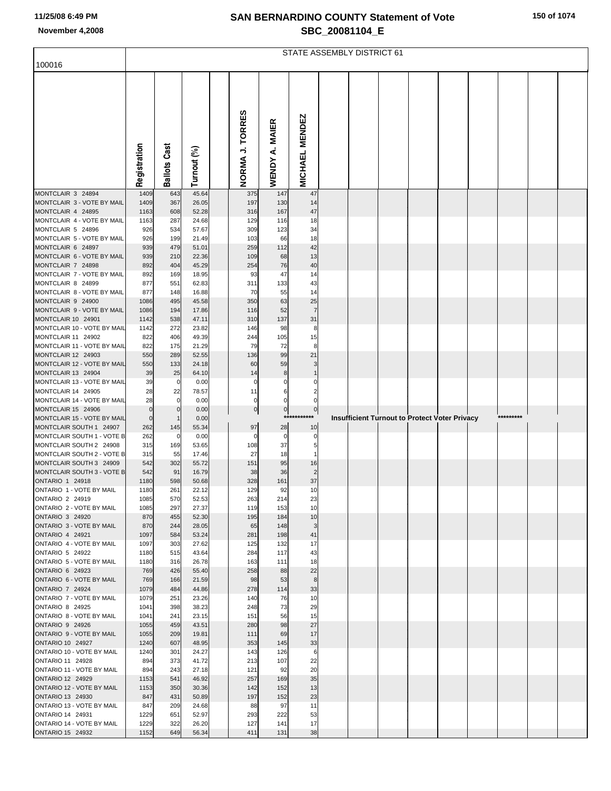|  |  |  | 150 of 1074 |  |
|--|--|--|-------------|--|
|--|--|--|-------------|--|

|                                                       | <b>STATE ASSEMBLY DISTRICT 61</b> |                     |                |  |                 |                          |                       |  |  |  |  |                                                      |  |           |  |
|-------------------------------------------------------|-----------------------------------|---------------------|----------------|--|-----------------|--------------------------|-----------------------|--|--|--|--|------------------------------------------------------|--|-----------|--|
| 100016                                                |                                   |                     |                |  |                 |                          |                       |  |  |  |  |                                                      |  |           |  |
|                                                       | Registration                      | <b>Ballots Cast</b> | Turnout (%)    |  | NORMA J. TORRES | A. MAIER<br><b>WENDY</b> | <b>MICHAEL MENDEZ</b> |  |  |  |  |                                                      |  |           |  |
| MONTCLAIR 3 24894                                     | 1409                              | 643                 | 45.64          |  | 375             | 147                      | 47                    |  |  |  |  |                                                      |  |           |  |
| MONTCLAIR 3 - VOTE BY MAIL                            | 1409                              | 367                 | 26.05          |  | 197             | 130                      | 14                    |  |  |  |  |                                                      |  |           |  |
| MONTCLAIR 4 24895                                     | 1163                              | 608                 | 52.28          |  | 316             | 167                      | $47\,$                |  |  |  |  |                                                      |  |           |  |
| MONTCLAIR 4 - VOTE BY MAIL<br>MONTCLAIR 5 24896       | 1163<br>926                       | 287<br>534          | 24.68<br>57.67 |  | 129<br>309      | 116<br>123               | 18<br>34              |  |  |  |  |                                                      |  |           |  |
| MONTCLAIR 5 - VOTE BY MAIL                            | 926                               | 199                 | 21.49          |  | 103             | 66                       | 18                    |  |  |  |  |                                                      |  |           |  |
| MONTCLAIR 6 24897                                     | 939                               | 479                 | 51.01          |  | 259             | 112                      | 42                    |  |  |  |  |                                                      |  |           |  |
| MONTCLAIR 6 - VOTE BY MAIL                            | 939                               | 210                 | 22.36          |  | 109             | 68                       | 13                    |  |  |  |  |                                                      |  |           |  |
| MONTCLAIR 7 24898                                     | 892                               | 404                 | 45.29          |  | 254             | 76                       | 40                    |  |  |  |  |                                                      |  |           |  |
| MONTCLAIR 7 - VOTE BY MAIL                            | 892                               | 169                 | 18.95          |  | 93              | 47                       | 14                    |  |  |  |  |                                                      |  |           |  |
| MONTCLAIR 8 24899<br>MONTCLAIR 8 - VOTE BY MAIL       | 877<br>877                        | 551<br>148          | 62.83<br>16.88 |  | 311<br>70       | 133<br>55                | 43<br>14              |  |  |  |  |                                                      |  |           |  |
| MONTCLAIR 9 24900                                     | 1086                              | 495                 | 45.58          |  | 350             | 63                       | 25                    |  |  |  |  |                                                      |  |           |  |
| MONTCLAIR 9 - VOTE BY MAIL                            | 1086                              | 194                 | 17.86          |  | 116             | 52                       | $\overline{7}$        |  |  |  |  |                                                      |  |           |  |
| MONTCLAIR 10 24901                                    | 1142                              | 538                 | 47.11          |  | 310             | 137                      | 31                    |  |  |  |  |                                                      |  |           |  |
| MONTCLAIR 10 - VOTE BY MAIL                           | 1142                              | 272                 | 23.82          |  | 146             | 98                       | 8                     |  |  |  |  |                                                      |  |           |  |
| MONTCLAIR 11 24902<br>MONTCLAIR 11 - VOTE BY MAIL     | 822<br>822                        | 406<br>175          | 49.39<br>21.29 |  | 244<br>79       | 105<br>72                | 15<br>8               |  |  |  |  |                                                      |  |           |  |
| MONTCLAIR 12 24903                                    | 550                               | 289                 | 52.55          |  | 136             | 99                       | 21                    |  |  |  |  |                                                      |  |           |  |
| MONTCLAIR 12 - VOTE BY MAIL                           | 550                               | 133                 | 24.18          |  | 60              | 59                       | 3                     |  |  |  |  |                                                      |  |           |  |
| MONTCLAIR 13 24904                                    | 39                                | 25                  | 64.10          |  | 14              | 8                        |                       |  |  |  |  |                                                      |  |           |  |
| MONTCLAIR 13 - VOTE BY MAIL                           | 39                                | 0                   | 0.00           |  |                 |                          |                       |  |  |  |  |                                                      |  |           |  |
| MONTCLAIR 14 24905<br>MONTCLAIR 14 - VOTE BY MAIL     | 28<br>28                          | 22<br>0             | 78.57<br>0.00  |  | 11<br>0         | 6<br>0                   | 2<br>0                |  |  |  |  |                                                      |  |           |  |
| MONTCLAIR 15 24906                                    | $\mathbf 0$                       | 0                   | 0.00           |  | $\pmb{0}$       | $\mathbf 0$              | 0                     |  |  |  |  |                                                      |  |           |  |
| MONTCLAIR 15 - VOTE BY MAIL                           | $\pmb{0}$                         |                     | 0.00           |  |                 | ***                      | *****                 |  |  |  |  | <b>Insufficient Turnout to Protect Voter Privacy</b> |  | ********* |  |
| MONTCLAIR SOUTH 1 24907                               | 262                               | 145                 | 55.34          |  | 97              | 28                       | 10                    |  |  |  |  |                                                      |  |           |  |
| MONTCLAIR SOUTH 1 - VOTE B                            | 262                               | 0                   | 0.00           |  | 0               | 0                        | 0                     |  |  |  |  |                                                      |  |           |  |
| MONTCLAIR SOUTH 2 24908<br>MONTCLAIR SOUTH 2 - VOTE B | 315<br>315                        | 169<br>55           | 53.65<br>17.46 |  | 108<br>27       | 37<br>18                 | 5<br>1                |  |  |  |  |                                                      |  |           |  |
| MONTCLAIR SOUTH 3 24909                               | 542                               | 302                 | 55.72          |  | 151             | 95                       | 16                    |  |  |  |  |                                                      |  |           |  |
| MONTCLAIR SOUTH 3 - VOTE B                            | 542                               | 91                  | 16.79          |  | 38              | 36                       | $\overline{2}$        |  |  |  |  |                                                      |  |           |  |
| <b>ONTARIO 1 24918</b>                                | 1180                              | 598                 | 50.68          |  | 328             | 161                      | 37                    |  |  |  |  |                                                      |  |           |  |
| ONTARIO 1 - VOTE BY MAIL<br>ONTARIO 2 24919           | 1180<br>1085                      | 261<br>570          | 22.12<br>52.53 |  | 129<br>263      | 92<br>214                | 10<br>23              |  |  |  |  |                                                      |  |           |  |
| ONTARIO 2 - VOTE BY MAIL                              | 1085                              | 297                 | 27.37          |  | 119             | 153                      | 10                    |  |  |  |  |                                                      |  |           |  |
| ONTARIO 3 24920                                       | 870                               | 455                 | 52.30          |  | 195             | 184                      | 10                    |  |  |  |  |                                                      |  |           |  |
| ONTARIO 3 - VOTE BY MAIL                              | 870                               | 244                 | 28.05          |  | 65              | 148                      | 3                     |  |  |  |  |                                                      |  |           |  |
| ONTARIO 4 24921                                       | 1097                              | 584                 | 53.24          |  | 281             | 198                      | 41                    |  |  |  |  |                                                      |  |           |  |
| ONTARIO 4 - VOTE BY MAIL<br>ONTARIO 5 24922           | 1097<br>1180                      | 303<br>515          | 27.62<br>43.64 |  | 125<br>284      | 132<br>117               | 17<br>43              |  |  |  |  |                                                      |  |           |  |
| ONTARIO 5 - VOTE BY MAIL                              | 1180                              | 316                 | 26.78          |  | 163             | 111                      | 18                    |  |  |  |  |                                                      |  |           |  |
| ONTARIO 6 24923                                       | 769                               | 426                 | 55.40          |  | 258             | 88                       | 22                    |  |  |  |  |                                                      |  |           |  |
| ONTARIO 6 - VOTE BY MAIL                              | 769                               | 166                 | 21.59          |  | 98              | 53                       | $\bf8$                |  |  |  |  |                                                      |  |           |  |
| ONTARIO 7 24924                                       | 1079                              | 484                 | 44.86          |  | 278             | 114                      | 33                    |  |  |  |  |                                                      |  |           |  |
| ONTARIO 7 - VOTE BY MAIL<br>ONTARIO 8 24925           | 1079<br>1041                      | 251<br>398          | 23.26<br>38.23 |  | 140<br>248      | 76<br>73                 | 10<br>29              |  |  |  |  |                                                      |  |           |  |
| ONTARIO 8 - VOTE BY MAIL                              | 1041                              | 241                 | 23.15          |  | 151             | 56                       | 15                    |  |  |  |  |                                                      |  |           |  |
| ONTARIO 9 24926                                       | 1055                              | 459                 | 43.51          |  | 280             | 98                       | 27                    |  |  |  |  |                                                      |  |           |  |
| ONTARIO 9 - VOTE BY MAIL                              | 1055                              | 209                 | 19.81          |  | 111             | 69                       | 17                    |  |  |  |  |                                                      |  |           |  |
| <b>ONTARIO 10 24927</b><br>ONTARIO 10 - VOTE BY MAIL  | 1240                              | 607<br>301          | 48.95<br>24.27 |  | 353             | 145                      | 33                    |  |  |  |  |                                                      |  |           |  |
| ONTARIO 11 24928                                      | 1240<br>894                       | 373                 | 41.72          |  | 143<br>213      | 126<br>107               | 6<br>22               |  |  |  |  |                                                      |  |           |  |
| ONTARIO 11 - VOTE BY MAIL                             | 894                               | 243                 | 27.18          |  | 121             | 92                       | 20                    |  |  |  |  |                                                      |  |           |  |
| ONTARIO 12 24929                                      | 1153                              | 541                 | 46.92          |  | 257             | 169                      | 35                    |  |  |  |  |                                                      |  |           |  |
| ONTARIO 12 - VOTE BY MAIL                             | 1153                              | 350                 | 30.36          |  | 142             | 152                      | 13                    |  |  |  |  |                                                      |  |           |  |
| ONTARIO 13 24930<br>ONTARIO 13 - VOTE BY MAIL         | 847<br>847                        | 431<br>209          | 50.89<br>24.68 |  | 197<br>88       | 152<br>97                | 23<br>11              |  |  |  |  |                                                      |  |           |  |
| ONTARIO 14 24931                                      | 1229                              | 651                 | 52.97          |  | 293             | 222                      | 53                    |  |  |  |  |                                                      |  |           |  |
| ONTARIO 14 - VOTE BY MAIL                             | 1229                              | 322                 | 26.20          |  | 127             | 141                      | 17                    |  |  |  |  |                                                      |  |           |  |
| ONTARIO 15 24932                                      | 1152                              | 649                 | 56.34          |  | 411             | 131                      | 38                    |  |  |  |  |                                                      |  |           |  |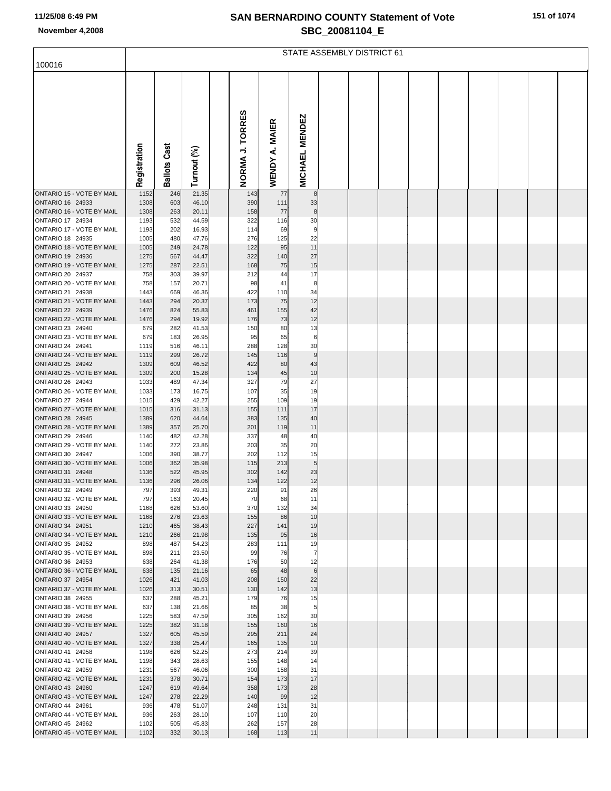|  |  | 151 of 1074 |  |
|--|--|-------------|--|
|--|--|-------------|--|

|                                                      | STATE ASSEMBLY DISTRICT 61 |                     |                |  |                 |              |                        |  |  |  |  |  |  |  |
|------------------------------------------------------|----------------------------|---------------------|----------------|--|-----------------|--------------|------------------------|--|--|--|--|--|--|--|
| 100016                                               |                            |                     |                |  |                 |              |                        |  |  |  |  |  |  |  |
|                                                      |                            |                     |                |  |                 |              |                        |  |  |  |  |  |  |  |
|                                                      |                            |                     |                |  | NORMA J. TORRES | <b>MAIER</b> | <b>MICHAEL MENDEZ</b>  |  |  |  |  |  |  |  |
|                                                      | Registration               | <b>Ballots Cast</b> | Turnout (%)    |  |                 | WENDY A.     |                        |  |  |  |  |  |  |  |
| ONTARIO 15 - VOTE BY MAIL                            | 1152                       | 246                 | 21.35          |  | 143             | 77           | 8                      |  |  |  |  |  |  |  |
| ONTARIO 16 24933<br>ONTARIO 16 - VOTE BY MAIL        | 1308<br>1308               | 603<br>263          | 46.10<br>20.11 |  | 390<br>158      | 111<br>77    | 33<br>8                |  |  |  |  |  |  |  |
| ONTARIO 17 24934                                     | 1193                       | 532                 | 44.59          |  | 322             | 116          | 30                     |  |  |  |  |  |  |  |
| ONTARIO 17 - VOTE BY MAIL                            | 1193                       | 202                 | 16.93          |  | 114             | 69           | 9                      |  |  |  |  |  |  |  |
| ONTARIO 18 24935<br>ONTARIO 18 - VOTE BY MAIL        | 1005<br>1005               | 480<br>249          | 47.76<br>24.78 |  | 276<br>122      | 125<br>95    | 22<br>11               |  |  |  |  |  |  |  |
| ONTARIO 19 24936                                     | 1275                       | 567                 | 44.47          |  | 322             | 140          | 27                     |  |  |  |  |  |  |  |
| ONTARIO 19 - VOTE BY MAIL                            | 1275                       | 287                 | 22.51          |  | 168             | 75           | 15                     |  |  |  |  |  |  |  |
| ONTARIO 20 24937<br>ONTARIO 20 - VOTE BY MAIL        | 758<br>758                 | 303<br>157          | 39.97<br>20.71 |  | 212<br>98       | 44           | 17<br>8                |  |  |  |  |  |  |  |
| ONTARIO 21 24938                                     | 1443                       | 669                 | 46.36          |  | 422             | 41<br>110    | 34                     |  |  |  |  |  |  |  |
| ONTARIO 21 - VOTE BY MAIL                            | 1443                       | 294                 | 20.37          |  | 173             | 75           | 12                     |  |  |  |  |  |  |  |
| ONTARIO 22 24939                                     | 1476                       | 824                 | 55.83          |  | 461             | 155          | 42                     |  |  |  |  |  |  |  |
| ONTARIO 22 - VOTE BY MAIL<br>ONTARIO 23 24940        | 1476<br>679                | 294<br>282          | 19.92<br>41.53 |  | 176<br>150      | 73<br>80     | 12<br>13               |  |  |  |  |  |  |  |
| ONTARIO 23 - VOTE BY MAIL                            | 679                        | 183                 | 26.95          |  | 95              | 65           | 6                      |  |  |  |  |  |  |  |
| ONTARIO 24 24941                                     | 1119                       | 516                 | 46.11          |  | 288             | 128          | 30                     |  |  |  |  |  |  |  |
| ONTARIO 24 - VOTE BY MAIL<br><b>ONTARIO 25 24942</b> | 1119<br>1309               | 299<br>609          | 26.72<br>46.52 |  | 145<br>422      | 116<br>80    | $\boldsymbol{9}$<br>43 |  |  |  |  |  |  |  |
| ONTARIO 25 - VOTE BY MAIL                            | 1309                       | 200                 | 15.28          |  | 134             | 45           | 10                     |  |  |  |  |  |  |  |
| ONTARIO 26 24943                                     | 1033                       | 489                 | 47.34          |  | 327             | 79           | 27                     |  |  |  |  |  |  |  |
| ONTARIO 26 - VOTE BY MAIL<br>ONTARIO 27 24944        | 1033<br>1015               | 173<br>429          | 16.75<br>42.27 |  | 107<br>255      | 35<br>109    | 19<br>19               |  |  |  |  |  |  |  |
| ONTARIO 27 - VOTE BY MAIL                            | 1015                       | 316                 | 31.13          |  | 155             | 111          | 17                     |  |  |  |  |  |  |  |
| <b>ONTARIO 28 24945</b>                              | 1389                       | 620                 | 44.64          |  | 383             | 135          | 40                     |  |  |  |  |  |  |  |
| ONTARIO 28 - VOTE BY MAIL<br>ONTARIO 29 24946        | 1389<br>1140               | 357<br>482          | 25.70<br>42.28 |  | 201<br>337      | 119<br>48    | 11<br>40               |  |  |  |  |  |  |  |
| ONTARIO 29 - VOTE BY MAIL                            | 1140                       | 272                 | 23.86          |  | 203             | 35           | 20                     |  |  |  |  |  |  |  |
| ONTARIO 30 24947                                     | 1006                       | 390                 | 38.77          |  | 202             | 112          | 15                     |  |  |  |  |  |  |  |
| ONTARIO 30 - VOTE BY MAIL<br>ONTARIO 31 24948        | 1006<br>1136               | 362<br>522          | 35.98<br>45.95 |  | 115<br>302      | 213<br>142   | 5<br>23                |  |  |  |  |  |  |  |
| ONTARIO 31 - VOTE BY MAIL                            | 1136                       | 296                 | 26.06          |  | 134             | 122          | 12                     |  |  |  |  |  |  |  |
| ONTARIO 32 24949                                     | 797                        | 393                 | 49.31          |  | 220             | 91           | 26                     |  |  |  |  |  |  |  |
| ONTARIO 32 - VOTE BY MAIL<br>ONTARIO 33 24950        | 797<br>1168                | 163<br>626          | 20.45<br>53.60 |  | 70<br>370       | 68<br>132    | 11<br>34               |  |  |  |  |  |  |  |
| ONTARIO 33 - VOTE BY MAIL                            | 1168                       | 276                 | 23.63          |  | 155             | 86           | 10                     |  |  |  |  |  |  |  |
| ONTARIO 34 24951                                     | 1210                       | 465                 | 38.43          |  | 227             | 141          | 19                     |  |  |  |  |  |  |  |
| ONTARIO 34 - VOTE BY MAIL<br>ONTARIO 35 24952        | 1210<br>898                | 266<br>487          | 21.98<br>54.23 |  | 135<br>283      | 95<br>111    | 16<br>19               |  |  |  |  |  |  |  |
| ONTARIO 35 - VOTE BY MAIL                            | 898                        | 211                 | 23.50          |  | 99              | 76           | $\overline{7}$         |  |  |  |  |  |  |  |
| ONTARIO 36 24953                                     | 638                        | 264                 | 41.38          |  | 176             | 50           | 12                     |  |  |  |  |  |  |  |
| ONTARIO 36 - VOTE BY MAIL<br>ONTARIO 37 24954        | 638<br>1026                | 135<br>421          | 21.16<br>41.03 |  | 65<br>208       | 48<br>150    | $\,6$<br>22            |  |  |  |  |  |  |  |
| ONTARIO 37 - VOTE BY MAIL                            | 1026                       | 313                 | 30.51          |  | 130             | 142          | 13                     |  |  |  |  |  |  |  |
| ONTARIO 38 24955                                     | 637                        | 288                 | 45.21          |  | 179             | 76           | 15                     |  |  |  |  |  |  |  |
| ONTARIO 38 - VOTE BY MAIL<br>ONTARIO 39 24956        | 637<br>1225                | 138<br>583          | 21.66<br>47.59 |  | 85<br>305       | 38<br>162    | 5<br>30                |  |  |  |  |  |  |  |
| ONTARIO 39 - VOTE BY MAIL                            | 1225                       | 382                 | 31.18          |  | 155             | 160          | 16                     |  |  |  |  |  |  |  |
| ONTARIO 40 24957                                     | 1327                       | 605                 | 45.59          |  | 295             | 211          | 24                     |  |  |  |  |  |  |  |
| ONTARIO 40 - VOTE BY MAIL                            | 1327                       | 338                 | 25.47          |  | 165             | 135          | 10                     |  |  |  |  |  |  |  |
| ONTARIO 41 24958<br>ONTARIO 41 - VOTE BY MAIL        | 1198<br>1198               | 626<br>343          | 52.25<br>28.63 |  | 273<br>155      | 214<br>148   | 39<br>14               |  |  |  |  |  |  |  |
| ONTARIO 42 24959                                     | 1231                       | 567                 | 46.06          |  | 300             | 158          | 31                     |  |  |  |  |  |  |  |
| ONTARIO 42 - VOTE BY MAIL                            | 1231                       | 378                 | 30.71          |  | 154             | 173          | 17                     |  |  |  |  |  |  |  |
| ONTARIO 43 24960<br>ONTARIO 43 - VOTE BY MAIL        | 1247<br>1247               | 619<br>278          | 49.64<br>22.29 |  | 358<br>140      | 173<br>99    | 28<br>12               |  |  |  |  |  |  |  |
| ONTARIO 44 24961                                     | 936                        | 478                 | 51.07          |  | 248             | 131          | 31                     |  |  |  |  |  |  |  |
| ONTARIO 44 - VOTE BY MAIL                            | 936                        | 263                 | 28.10          |  | 107             | 110          | 20                     |  |  |  |  |  |  |  |
| ONTARIO 45 24962<br>ONTARIO 45 - VOTE BY MAIL        | 1102<br>1102               | 505<br>332          | 45.83<br>30.13 |  | 262<br>168      | 157<br>113   | 28<br>11               |  |  |  |  |  |  |  |
|                                                      |                            |                     |                |  |                 |              |                        |  |  |  |  |  |  |  |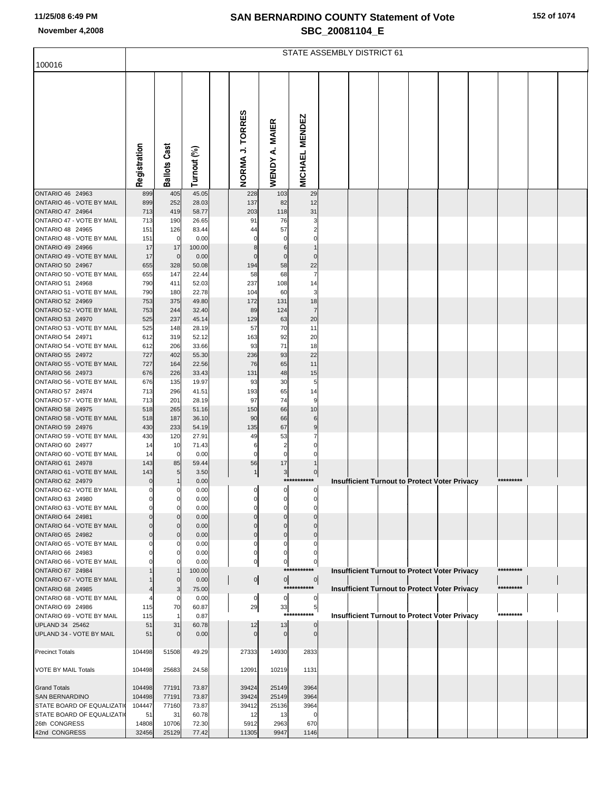|  |  |  | 152 of 1074 |
|--|--|--|-------------|
|--|--|--|-------------|

|                                               | STATE ASSEMBLY DISTRICT 61 |                            |                |  |                    |                          |                       |  |                                                      |  |  |  |  |           |  |
|-----------------------------------------------|----------------------------|----------------------------|----------------|--|--------------------|--------------------------|-----------------------|--|------------------------------------------------------|--|--|--|--|-----------|--|
| 100016                                        |                            |                            |                |  |                    |                          |                       |  |                                                      |  |  |  |  |           |  |
|                                               | Registration               | <b>Ballots Cast</b>        | Turnout (%)    |  | NORMA J. TORRES    | <b>MAIER</b><br>WENDY A. | <b>MICHAEL MENDEZ</b> |  |                                                      |  |  |  |  |           |  |
| ONTARIO 46 24963                              | 899                        | 405                        | 45.05          |  | 228                | 103                      | 29                    |  |                                                      |  |  |  |  |           |  |
| ONTARIO 46 - VOTE BY MAIL<br>ONTARIO 47 24964 | 899<br>713                 | 252<br>419                 | 28.03<br>58.77 |  | 137<br>203         | 82<br>118                | 12<br>31              |  |                                                      |  |  |  |  |           |  |
| ONTARIO 47 - VOTE BY MAIL                     | 713                        | 190                        | 26.65          |  | 91                 | 76                       | 3                     |  |                                                      |  |  |  |  |           |  |
| ONTARIO 48 24965                              | 151                        | 126                        | 83.44          |  | 44                 | 57                       |                       |  |                                                      |  |  |  |  |           |  |
| ONTARIO 48 - VOTE BY MAIL<br>ONTARIO 49 24966 | 151<br>17                  | 0<br>17                    | 0.00<br>100.00 |  |                    | 6                        |                       |  |                                                      |  |  |  |  |           |  |
| ONTARIO 49 - VOTE BY MAIL                     | 17                         | 0                          | 0.00           |  |                    | $\mathbf 0$              | $\Omega$              |  |                                                      |  |  |  |  |           |  |
| ONTARIO 50 24967                              | 655                        | 328                        | 50.08          |  | 194                | 58                       | 22                    |  |                                                      |  |  |  |  |           |  |
| ONTARIO 50 - VOTE BY MAIL<br>ONTARIO 51 24968 | 655<br>790                 | 147                        | 22.44<br>52.03 |  | 58<br>237          | 68                       |                       |  |                                                      |  |  |  |  |           |  |
| ONTARIO 51 - VOTE BY MAIL                     | 790                        | 411<br>180                 | 22.78          |  | 104                | 108<br>60                | 14<br>3               |  |                                                      |  |  |  |  |           |  |
| ONTARIO 52 24969                              | 753                        | 375                        | 49.80          |  | 172                | 131                      | 18                    |  |                                                      |  |  |  |  |           |  |
| ONTARIO 52 - VOTE BY MAIL                     | 753                        | 244                        | 32.40          |  | 89                 | 124                      |                       |  |                                                      |  |  |  |  |           |  |
| ONTARIO 53 24970<br>ONTARIO 53 - VOTE BY MAIL | 525<br>525                 | 237<br>148                 | 45.14<br>28.19 |  | 129<br>57          | 63<br>70                 | 20<br>11              |  |                                                      |  |  |  |  |           |  |
| ONTARIO 54 24971                              | 612                        | 319                        | 52.12          |  | 163                | 92                       | 20                    |  |                                                      |  |  |  |  |           |  |
| ONTARIO 54 - VOTE BY MAIL                     | 612                        | 206                        | 33.66          |  | 93                 | 71                       | 18                    |  |                                                      |  |  |  |  |           |  |
| ONTARIO 55 24972<br>ONTARIO 55 - VOTE BY MAIL | 727<br>727                 | 402<br>164                 | 55.30<br>22.56 |  | 236<br>76          | 93<br>65                 | 22<br>11              |  |                                                      |  |  |  |  |           |  |
| ONTARIO 56 24973                              | 676                        | 226                        | 33.43          |  | 131                | 48                       | 15                    |  |                                                      |  |  |  |  |           |  |
| ONTARIO 56 - VOTE BY MAIL                     | 676                        | 135                        | 19.97          |  | 93                 | 30                       | 5                     |  |                                                      |  |  |  |  |           |  |
| ONTARIO 57 24974<br>ONTARIO 57 - VOTE BY MAIL | 713<br>713                 | 296<br>201                 | 41.51<br>28.19 |  | 193<br>97          | 65<br>74                 | 14<br>9               |  |                                                      |  |  |  |  |           |  |
| ONTARIO 58 24975                              | 518                        | 265                        | 51.16          |  | 150                | 66                       | 10                    |  |                                                      |  |  |  |  |           |  |
| ONTARIO 58 - VOTE BY MAIL<br>ONTARIO 59 24976 | 518<br>430                 | 187<br>233                 | 36.10          |  | 90<br>135          | 66                       |                       |  |                                                      |  |  |  |  |           |  |
| ONTARIO 59 - VOTE BY MAIL                     | 430                        | 120                        | 54.19<br>27.91 |  | 49                 | 67<br>53                 | 9                     |  |                                                      |  |  |  |  |           |  |
| ONTARIO 60 24977                              | 14                         | 10                         | 71.43          |  | 6                  | 2                        |                       |  |                                                      |  |  |  |  |           |  |
| ONTARIO 60 - VOTE BY MAIL<br>ONTARIO 61 24978 | 14<br>143                  | 0                          | 0.00           |  | O                  | 0                        |                       |  |                                                      |  |  |  |  |           |  |
| ONTARIO 61 - VOTE BY MAIL                     | 143                        | 85<br>5                    | 59.44<br>3.50  |  | 56                 | 17<br>3 <sup>1</sup>     | 0                     |  |                                                      |  |  |  |  |           |  |
| ONTARIO 62 24979                              | 0                          |                            | 0.00           |  |                    |                          | ***********           |  | <b>Insufficient Turnout to Protect Voter Privacy</b> |  |  |  |  | ********* |  |
| ONTARIO 62 - VOTE BY MAIL<br>ONTARIO 63 24980 | $\mathbf 0$                | 0<br>0                     | 0.00<br>0.00   |  | $\overline{0}$     | $\overline{0}$           | $\overline{0}$        |  |                                                      |  |  |  |  |           |  |
| ONTARIO 63 - VOTE BY MAIL                     |                            | $\Omega$                   | 0.00           |  |                    |                          |                       |  |                                                      |  |  |  |  |           |  |
| ONTARIO 64 24981                              |                            | $\Omega$                   | 0.00           |  |                    |                          |                       |  |                                                      |  |  |  |  |           |  |
| ONTARIO 64 - VOTE BY MAIL<br>ONTARIO 65 24982 |                            | $\mathbf 0$<br>$\mathbf 0$ | 0.00<br>0.00   |  | $\Omega$           | $\Omega$<br>$\mathbf 0$  |                       |  |                                                      |  |  |  |  |           |  |
| ONTARIO 65 - VOTE BY MAIL                     |                            | 0                          | 0.00           |  | O                  | O                        | O                     |  |                                                      |  |  |  |  |           |  |
| ONTARIO 66 24983                              |                            |                            | 0.00           |  | O                  | 0                        |                       |  |                                                      |  |  |  |  |           |  |
| ONTARIO 66 - VOTE BY MAIL<br>ONTARIO 67 24984 |                            | 0                          | 0.00<br>100.00 |  | 0                  | 0<br>***                 | 0                     |  | <b>Insufficient Turnout to Protect Voter Privacy</b> |  |  |  |  |           |  |
| ONTARIO 67 - VOTE BY MAIL                     |                            | 0                          | 0.00           |  | $\overline{0}$     | $\overline{0}$           | $\overline{0}$        |  |                                                      |  |  |  |  |           |  |
| ONTARIO 68 24985                              |                            | 3                          | 75.00          |  |                    | ****                     | ******                |  | Insufficient Turnout to Protect Voter Privacy        |  |  |  |  | ********* |  |
| ONTARIO 68 - VOTE BY MAIL<br>ONTARIO 69 24986 | 115                        | 0<br>70                    | 0.00<br>60.87  |  | $\mathbf{0}$<br>29 | $\mathbf{0}$<br>33       | 5 <sub>1</sub>        |  |                                                      |  |  |  |  |           |  |
| ONTARIO 69 - VOTE BY MAIL                     | 115                        | 1                          | 0.87           |  |                    | $***$                    | *******               |  | <b>Insufficient Turnout to Protect Voter Privacy</b> |  |  |  |  | ********* |  |
| UPLAND 34 25462                               | 51                         | 31                         | 60.78          |  | 12                 | 13                       | $\Omega$              |  |                                                      |  |  |  |  |           |  |
| UPLAND 34 - VOTE BY MAIL                      | 51                         | $\Omega$                   | 0.00           |  |                    |                          | $\Omega$              |  |                                                      |  |  |  |  |           |  |
| <b>Precinct Totals</b>                        | 104498                     | 51508                      | 49.29          |  | 27333              | 14930                    | 2833                  |  |                                                      |  |  |  |  |           |  |
| VOTE BY MAIL Totals                           | 104498                     | 25683                      | 24.58          |  | 12091              | 10219                    | 1131                  |  |                                                      |  |  |  |  |           |  |
| <b>Grand Totals</b>                           | 104498                     | 77191                      | 73.87          |  | 39424              | 25149                    | 3964                  |  |                                                      |  |  |  |  |           |  |
| <b>SAN BERNARDINO</b>                         | 104498                     | 77191                      | 73.87          |  | 39424              | 25149                    | 3964                  |  |                                                      |  |  |  |  |           |  |
| STATE BOARD OF EQUALIZATI                     | 104447                     | 77160                      | 73.87          |  | 39412              | 25136                    | 3964                  |  |                                                      |  |  |  |  |           |  |
| STATE BOARD OF EQUALIZATI<br>26th CONGRESS    | 51<br>14808                | 31<br>10706                | 60.78<br>72.30 |  | 12<br>5912         | 13<br>2963               | $\mathbf 0$<br>670    |  |                                                      |  |  |  |  |           |  |
| 42nd CONGRESS                                 | 32456                      | 25129                      | 77.42          |  | 11305              | 9947                     | 1146                  |  |                                                      |  |  |  |  |           |  |